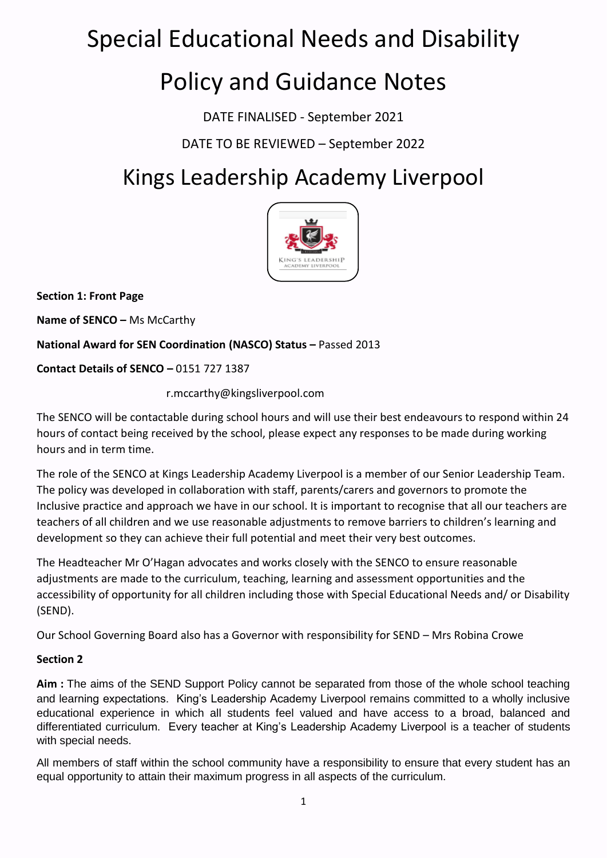## Special Educational Needs and Disability

# Policy and Guidance Notes

DATE FINALISED - September 2021

DATE TO BE REVIEWED – September 2022

## Kings Leadership Academy Liverpool



**Section 1: Front Page**

**Name of SENCO –** Ms McCarthy

**National Award for SEN Coordination (NASCO) Status –** Passed 2013

**Contact Details of SENCO –** 0151 727 1387

r.mccarthy@kingsliverpool.com

The SENCO will be contactable during school hours and will use their best endeavours to respond within 24 hours of contact being received by the school, please expect any responses to be made during working hours and in term time.

The role of the SENCO at Kings Leadership Academy Liverpool is a member of our Senior Leadership Team. The policy was developed in collaboration with staff, parents/carers and governors to promote the Inclusive practice and approach we have in our school. It is important to recognise that all our teachers are teachers of all children and we use reasonable adjustments to remove barriers to children's learning and development so they can achieve their full potential and meet their very best outcomes.

The Headteacher Mr O'Hagan advocates and works closely with the SENCO to ensure reasonable adjustments are made to the curriculum, teaching, learning and assessment opportunities and the accessibility of opportunity for all children including those with Special Educational Needs and/ or Disability (SEND).

Our School Governing Board also has a Governor with responsibility for SEND – Mrs Robina Crowe

## **Section 2**

**Aim :** The aims of the SEND Support Policy cannot be separated from those of the whole school teaching and learning expectations. King's Leadership Academy Liverpool remains committed to a wholly inclusive educational experience in which all students feel valued and have access to a broad, balanced and differentiated curriculum. Every teacher at King's Leadership Academy Liverpool is a teacher of students with special needs.

All members of staff within the school community have a responsibility to ensure that every student has an equal opportunity to attain their maximum progress in all aspects of the curriculum.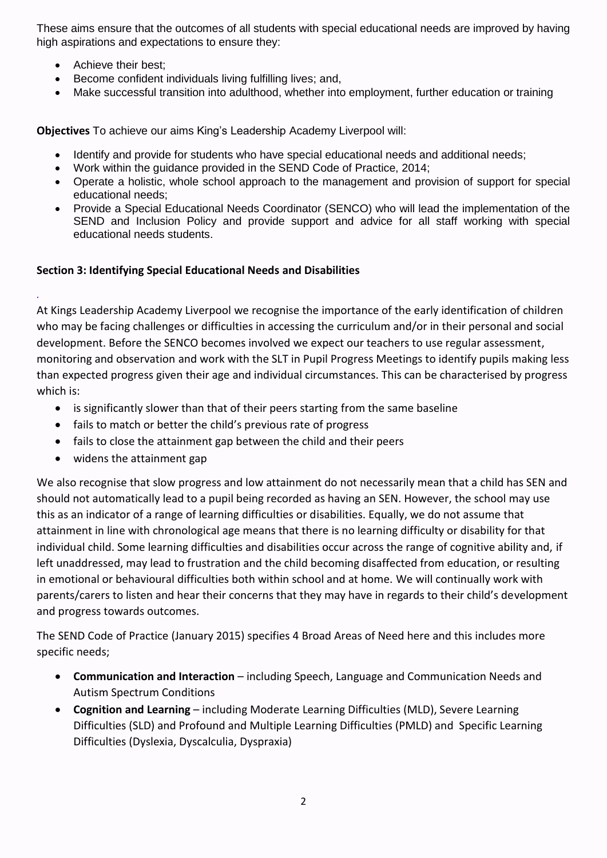These aims ensure that the outcomes of all students with special educational needs are improved by having high aspirations and expectations to ensure they:

• Achieve their best;

*.*

- Become confident individuals living fulfilling lives; and,
- Make successful transition into adulthood, whether into employment, further education or training

**Objectives** To achieve our aims King's Leadership Academy Liverpool will:

- Identify and provide for students who have special educational needs and additional needs;
- Work within the guidance provided in the SEND Code of Practice, 2014;
- Operate a holistic, whole school approach to the management and provision of support for special educational needs;
- Provide a Special Educational Needs Coordinator (SENCO) who will lead the implementation of the SEND and Inclusion Policy and provide support and advice for all staff working with special educational needs students.

#### **Section 3: Identifying Special Educational Needs and Disabilities**

At Kings Leadership Academy Liverpool we recognise the importance of the early identification of children who may be facing challenges or difficulties in accessing the curriculum and/or in their personal and social development. Before the SENCO becomes involved we expect our teachers to use regular assessment, monitoring and observation and work with the SLT in Pupil Progress Meetings to identify pupils making less than expected progress given their age and individual circumstances. This can be characterised by progress which is:

- is significantly slower than that of their peers starting from the same baseline
- fails to match or better the child's previous rate of progress
- fails to close the attainment gap between the child and their peers
- widens the attainment gap

We also recognise that slow progress and low attainment do not necessarily mean that a child has SEN and should not automatically lead to a pupil being recorded as having an SEN. However, the school may use this as an indicator of a range of learning difficulties or disabilities. Equally, we do not assume that attainment in line with chronological age means that there is no learning difficulty or disability for that individual child. Some learning difficulties and disabilities occur across the range of cognitive ability and, if left unaddressed, may lead to frustration and the child becoming disaffected from education, or resulting in emotional or behavioural difficulties both within school and at home. We will continually work with parents/carers to listen and hear their concerns that they may have in regards to their child's development and progress towards outcomes.

The SEND Code of Practice (January 2015) specifies 4 Broad Areas of Need here and this includes more specific needs;

- **Communication and Interaction** including Speech, Language and Communication Needs and Autism Spectrum Conditions
- **Cognition and Learning** including Moderate Learning Difficulties (MLD), Severe Learning Difficulties (SLD) and Profound and Multiple Learning Difficulties (PMLD) and Specific Learning Difficulties (Dyslexia, Dyscalculia, Dyspraxia)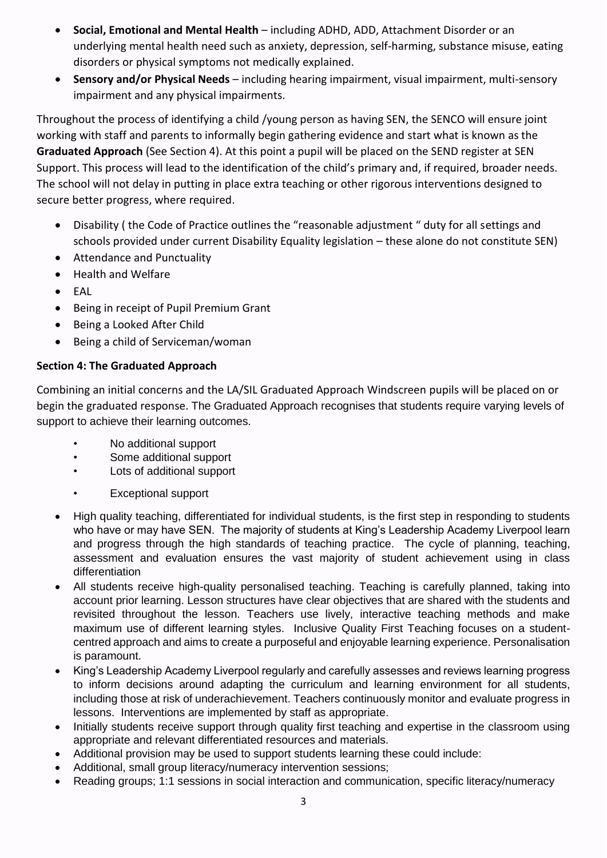- **Social, Emotional and Mental Health**  including ADHD, ADD, Attachment Disorder or an underlying mental health need such as anxiety, depression, self-harming, substance misuse, eating disorders or physical symptoms not medically explained.
- **Sensory and/or Physical Needs** including hearing impairment, visual impairment, multi-sensory impairment and any physical impairments.

Throughout the process of identifying a child /young person as having SEN, the SENCO will ensure joint working with staff and parents to informally begin gathering evidence and start what is known as the **Graduated Approach** (See Section 4). At this point a pupil will be placed on the SEND register at SEN Support. This process will lead to the identification of the child's primary and, if required, broader needs. The school will not delay in putting in place extra teaching or other rigorous interventions designed to secure better progress, where required.

- Disability ( the Code of Practice outlines the "reasonable adjustment " duty for all settings and schools provided under current Disability Equality legislation – these alone do not constitute SEN)
- Attendance and Punctuality
- Health and Welfare
- EAL
- Being in receipt of Pupil Premium Grant
- Being a Looked After Child
- Being a child of Serviceman/woman

## **Section 4: The Graduated Approach**

Combining an initial concerns and the LA/SIL Graduated Approach Windscreen pupils will be placed on or begin the graduated response. The Graduated Approach recognises that students require varying levels of support to achieve their learning outcomes.

- No additional support
- Some additional support
- Lots of additional support
- Exceptional support
- High quality teaching, differentiated for individual students, is the first step in responding to students who have or may have SEN. The majority of students at King's Leadership Academy Liverpool learn and progress through the high standards of teaching practice. The cycle of planning, teaching, assessment and evaluation ensures the vast majority of student achievement using in class differentiation
- All students receive high-quality personalised teaching. Teaching is carefully planned, taking into account prior learning. Lesson structures have clear objectives that are shared with the students and revisited throughout the lesson. Teachers use lively, interactive teaching methods and make maximum use of different learning styles. Inclusive Quality First Teaching focuses on a studentcentred approach and aims to create a purposeful and enjoyable learning experience. Personalisation is paramount.
- King's Leadership Academy Liverpool regularly and carefully assesses and reviews learning progress to inform decisions around adapting the curriculum and learning environment for all students, including those at risk of underachievement. Teachers continuously monitor and evaluate progress in lessons. Interventions are implemented by staff as appropriate.
- Initially students receive support through quality first teaching and expertise in the classroom using appropriate and relevant differentiated resources and materials.
- Additional provision may be used to support students learning these could include:
- Additional, small group literacy/numeracy intervention sessions;
- Reading groups; 1:1 sessions in social interaction and communication, specific literacy/numeracy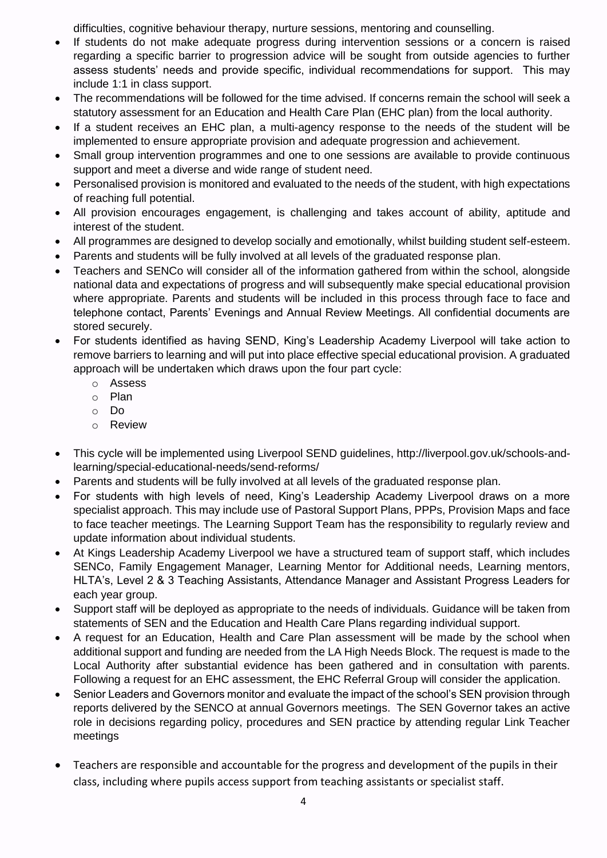difficulties, cognitive behaviour therapy, nurture sessions, mentoring and counselling.

- If students do not make adequate progress during intervention sessions or a concern is raised regarding a specific barrier to progression advice will be sought from outside agencies to further assess students' needs and provide specific, individual recommendations for support. This may include 1:1 in class support.
- The recommendations will be followed for the time advised. If concerns remain the school will seek a statutory assessment for an Education and Health Care Plan (EHC plan) from the local authority.
- If a student receives an EHC plan, a multi-agency response to the needs of the student will be implemented to ensure appropriate provision and adequate progression and achievement.
- Small group intervention programmes and one to one sessions are available to provide continuous support and meet a diverse and wide range of student need.
- Personalised provision is monitored and evaluated to the needs of the student, with high expectations of reaching full potential.
- All provision encourages engagement, is challenging and takes account of ability, aptitude and interest of the student.
- All programmes are designed to develop socially and emotionally, whilst building student self-esteem.
- Parents and students will be fully involved at all levels of the graduated response plan.
- Teachers and SENCo will consider all of the information gathered from within the school, alongside national data and expectations of progress and will subsequently make special educational provision where appropriate. Parents and students will be included in this process through face to face and telephone contact, Parents' Evenings and Annual Review Meetings. All confidential documents are stored securely.
- For students identified as having SEND, King's Leadership Academy Liverpool will take action to remove barriers to learning and will put into place effective special educational provision. A graduated approach will be undertaken which draws upon the four part cycle:
	- o Assess
	- o Plan
	- o Do
	- o Review
- This cycle will be implemented using Liverpool SEND guidelines, http://liverpool.gov.uk/schools-andlearning/special-educational-needs/send-reforms/
- Parents and students will be fully involved at all levels of the graduated response plan.
- For students with high levels of need, King's Leadership Academy Liverpool draws on a more specialist approach. This may include use of Pastoral Support Plans, PPPs, Provision Maps and face to face teacher meetings. The Learning Support Team has the responsibility to regularly review and update information about individual students.
- At Kings Leadership Academy Liverpool we have a structured team of support staff, which includes SENCo, Family Engagement Manager, Learning Mentor for Additional needs, Learning mentors, HLTA's, Level 2 & 3 Teaching Assistants, Attendance Manager and Assistant Progress Leaders for each year group.
- Support staff will be deployed as appropriate to the needs of individuals. Guidance will be taken from statements of SEN and the Education and Health Care Plans regarding individual support.
- A request for an Education, Health and Care Plan assessment will be made by the school when additional support and funding are needed from the LA High Needs Block. The request is made to the Local Authority after substantial evidence has been gathered and in consultation with parents. Following a request for an EHC assessment, the EHC Referral Group will consider the application.
- Senior Leaders and Governors monitor and evaluate the impact of the school's SEN provision through reports delivered by the SENCO at annual Governors meetings. The SEN Governor takes an active role in decisions regarding policy, procedures and SEN practice by attending regular Link Teacher meetings
- Teachers are responsible and accountable for the progress and development of the pupils in their class, including where pupils access support from teaching assistants or specialist staff.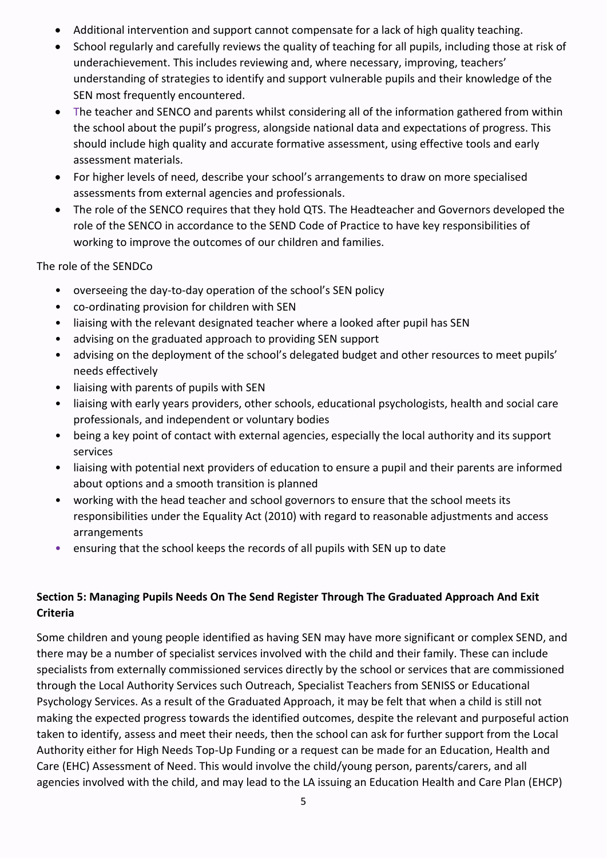- Additional intervention and support cannot compensate for a lack of high quality teaching.
- School regularly and carefully reviews the quality of teaching for all pupils, including those at risk of underachievement. This includes reviewing and, where necessary, improving, teachers' understanding of strategies to identify and support vulnerable pupils and their knowledge of the SEN most frequently encountered.
- The teacher and SENCO and parents whilst considering all of the information gathered from within the school about the pupil's progress, alongside national data and expectations of progress. This should include high quality and accurate formative assessment, using effective tools and early assessment materials.
- For higher levels of need, describe your school's arrangements to draw on more specialised assessments from external agencies and professionals.
- The role of the SENCO requires that they hold QTS. The Headteacher and Governors developed the role of the SENCO in accordance to the SEND Code of Practice to have key responsibilities of working to improve the outcomes of our children and families.

The role of the SENDCo

- overseeing the day-to-day operation of the school's SEN policy
- co-ordinating provision for children with SEN
- liaising with the relevant designated teacher where a looked after pupil has SEN
- advising on the graduated approach to providing SEN support
- advising on the deployment of the school's delegated budget and other resources to meet pupils' needs effectively
- liaising with parents of pupils with SEN
- liaising with early years providers, other schools, educational psychologists, health and social care professionals, and independent or voluntary bodies
- being a key point of contact with external agencies, especially the local authority and its support services
- liaising with potential next providers of education to ensure a pupil and their parents are informed about options and a smooth transition is planned
- working with the head teacher and school governors to ensure that the school meets its responsibilities under the Equality Act (2010) with regard to reasonable adjustments and access arrangements
- ensuring that the school keeps the records of all pupils with SEN up to date

## **Section 5: Managing Pupils Needs On The Send Register Through The Graduated Approach And Exit Criteria**

Some children and young people identified as having SEN may have more significant or complex SEND, and there may be a number of specialist services involved with the child and their family. These can include specialists from externally commissioned services directly by the school or services that are commissioned through the Local Authority Services such Outreach, Specialist Teachers from SENISS or Educational Psychology Services. As a result of the Graduated Approach, it may be felt that when a child is still not making the expected progress towards the identified outcomes, despite the relevant and purposeful action taken to identify, assess and meet their needs, then the school can ask for further support from the Local Authority either for High Needs Top-Up Funding or a request can be made for an Education, Health and Care (EHC) Assessment of Need. This would involve the child/young person, parents/carers, and all agencies involved with the child, and may lead to the LA issuing an Education Health and Care Plan (EHCP)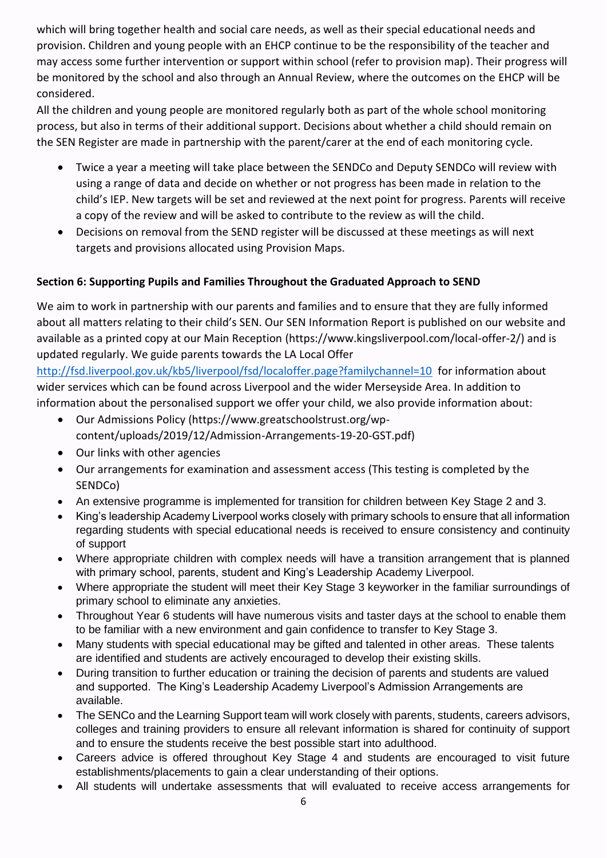which will bring together health and social care needs, as well as their special educational needs and provision. Children and young people with an EHCP continue to be the responsibility of the teacher and may access some further intervention or support within school (refer to provision map). Their progress will be monitored by the school and also through an Annual Review, where the outcomes on the EHCP will be considered.

All the children and young people are monitored regularly both as part of the whole school monitoring process, but also in terms of their additional support. Decisions about whether a child should remain on the SEN Register are made in partnership with the parent/carer at the end of each monitoring cycle.

- Twice a year a meeting will take place between the SENDCo and Deputy SENDCo will review with using a range of data and decide on whether or not progress has been made in relation to the child's IEP. New targets will be set and reviewed at the next point for progress. Parents will receive a copy of the review and will be asked to contribute to the review as will the child.
- Decisions on removal from the SEND register will be discussed at these meetings as will next targets and provisions allocated using Provision Maps.

## **Section 6: Supporting Pupils and Families Throughout the Graduated Approach to SEND**

We aim to work in partnership with our parents and families and to ensure that they are fully informed about all matters relating to their child's SEN. Our SEN Information Report is published on our website and available as a printed copy at our Main Reception (https://www.kingsliverpool.com/local-offer-2/) and is updated regularly. We guide parents towards the LA Local Offer

<http://fsd.liverpool.gov.uk/kb5/liverpool/fsd/localoffer.page?familychannel=10>for information about wider services which can be found across Liverpool and the wider Merseyside Area. In addition to information about the personalised support we offer your child, we also provide information about:

- Our Admissions Policy (https://www.greatschoolstrust.org/wpcontent/uploads/2019/12/Admission-Arrangements-19-20-GST.pdf)
- Our links with other agencies
- Our arrangements for examination and assessment access (This testing is completed by the SENDCo)
- An extensive programme is implemented for transition for children between Key Stage 2 and 3.
- King's leadership Academy Liverpool works closely with primary schools to ensure that all information regarding students with special educational needs is received to ensure consistency and continuity of support
- Where appropriate children with complex needs will have a transition arrangement that is planned with primary school, parents, student and King's Leadership Academy Liverpool.
- Where appropriate the student will meet their Key Stage 3 keyworker in the familiar surroundings of primary school to eliminate any anxieties.
- Throughout Year 6 students will have numerous visits and taster days at the school to enable them to be familiar with a new environment and gain confidence to transfer to Key Stage 3.
- Many students with special educational may be gifted and talented in other areas. These talents are identified and students are actively encouraged to develop their existing skills.
- During transition to further education or training the decision of parents and students are valued and supported. The King's Leadership Academy Liverpool's Admission Arrangements are available.
- The SENCo and the Learning Support team will work closely with parents, students, careers advisors, colleges and training providers to ensure all relevant information is shared for continuity of support and to ensure the students receive the best possible start into adulthood.
- Careers advice is offered throughout Key Stage 4 and students are encouraged to visit future establishments/placements to gain a clear understanding of their options.
- All students will undertake assessments that will evaluated to receive access arrangements for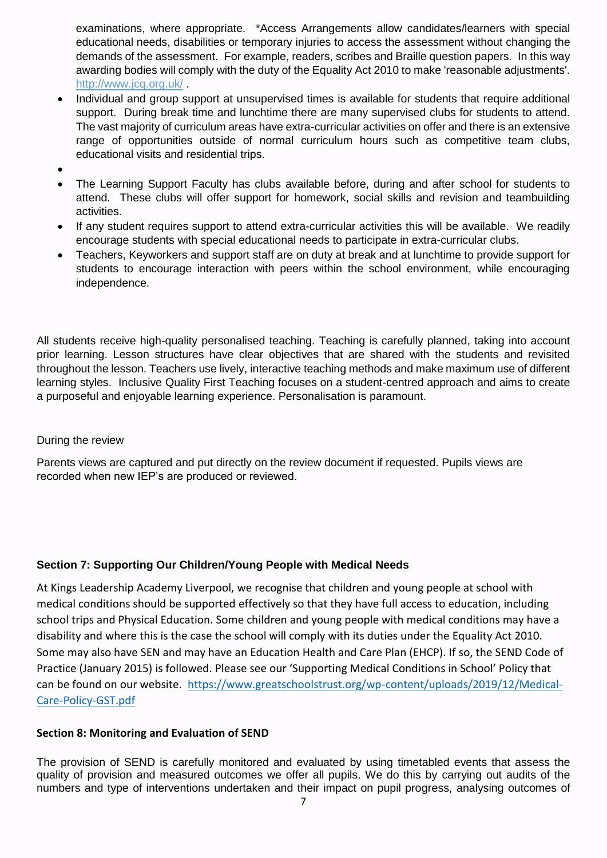examinations, where appropriate. \*Access Arrangements allow candidates/learners with special educational needs, disabilities or temporary injuries to access the assessment without changing the demands of the assessment. For example, readers, scribes and Braille question papers. In this way awarding bodies will comply with the duty of the Equality Act 2010 to make 'reasonable adjustments'. <http://www.jcq.org.uk/> .

- Individual and group support at unsupervised times is available for students that require additional support. During break time and lunchtime there are many supervised clubs for students to attend. The vast majority of curriculum areas have extra-curricular activities on offer and there is an extensive range of opportunities outside of normal curriculum hours such as competitive team clubs, educational visits and residential trips.
- •
- The Learning Support Faculty has clubs available before, during and after school for students to attend. These clubs will offer support for homework, social skills and revision and teambuilding activities.
- If any student requires support to attend extra-curricular activities this will be available. We readily encourage students with special educational needs to participate in extra-curricular clubs.
- Teachers, Keyworkers and support staff are on duty at break and at lunchtime to provide support for students to encourage interaction with peers within the school environment, while encouraging independence.

All students receive high-quality personalised teaching. Teaching is carefully planned, taking into account prior learning. Lesson structures have clear objectives that are shared with the students and revisited throughout the lesson. Teachers use lively, interactive teaching methods and make maximum use of different learning styles. Inclusive Quality First Teaching focuses on a student-centred approach and aims to create a purposeful and enjoyable learning experience. Personalisation is paramount.

#### During the review

Parents views are captured and put directly on the review document if requested. Pupils views are recorded when new IEP's are produced or reviewed.

#### **Section 7: Supporting Our Children/Young People with Medical Needs**

At Kings Leadership Academy Liverpool, we recognise that children and young people at school with medical conditions should be supported effectively so that they have full access to education, including school trips and Physical Education. Some children and young people with medical conditions may have a disability and where this is the case the school will comply with its duties under the Equality Act 2010. Some may also have SEN and may have an Education Health and Care Plan (EHCP). If so, the SEND Code of Practice (January 2015) is followed. Please see our 'Supporting Medical Conditions in School' Policy that can be found on our website. [https://www.greatschoolstrust.org/wp-content/uploads/2019/12/Medical-](https://www.greatschoolstrust.org/wp-content/uploads/2019/12/Medical-Care-Policy-GST.pdf)[Care-Policy-GST.pdf](https://www.greatschoolstrust.org/wp-content/uploads/2019/12/Medical-Care-Policy-GST.pdf)

#### **Section 8: Monitoring and Evaluation of SEND**

The provision of SEND is carefully monitored and evaluated by using timetabled events that assess the quality of provision and measured outcomes we offer all pupils. We do this by carrying out audits of the numbers and type of interventions undertaken and their impact on pupil progress, analysing outcomes of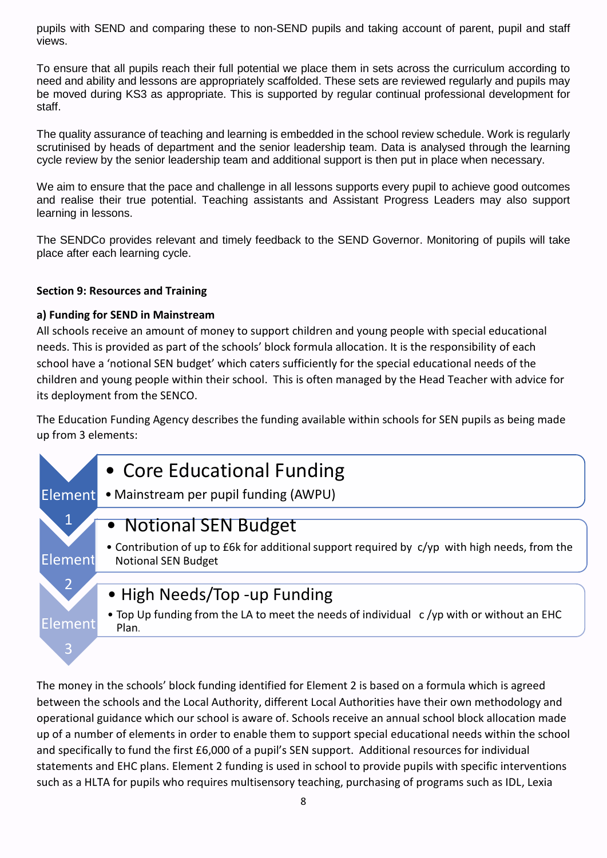pupils with SEND and comparing these to non-SEND pupils and taking account of parent, pupil and staff views.

To ensure that all pupils reach their full potential we place them in sets across the curriculum according to need and ability and lessons are appropriately scaffolded. These sets are reviewed regularly and pupils may be moved during KS3 as appropriate. This is supported by regular continual professional development for staff.

The quality assurance of teaching and learning is embedded in the school review schedule. Work is regularly scrutinised by heads of department and the senior leadership team. Data is analysed through the learning cycle review by the senior leadership team and additional support is then put in place when necessary.

We aim to ensure that the pace and challenge in all lessons supports every pupil to achieve good outcomes and realise their true potential. Teaching assistants and Assistant Progress Leaders may also support learning in lessons.

The SENDCo provides relevant and timely feedback to the SEND Governor. Monitoring of pupils will take place after each learning cycle.

#### **Section 9: Resources and Training**

#### **a) Funding for SEND in Mainstream**

All schools receive an amount of money to support children and young people with special educational needs. This is provided as part of the schools' block formula allocation. It is the responsibility of each school have a 'notional SEN budget' which caters sufficiently for the special educational needs of the children and young people within their school. This is often managed by the Head Teacher with advice for its deployment from the SENCO.

The Education Funding Agency describes the funding available within schools for SEN pupils as being made up from 3 elements:



The money in the schools' block funding identified for Element 2 is based on a formula which is agreed between the schools and the Local Authority, different Local Authorities have their own methodology and operational guidance which our school is aware of. Schools receive an annual school block allocation made up of a number of elements in order to enable them to support special educational needs within the school and specifically to fund the first £6,000 of a pupil's SEN support. Additional resources for individual statements and EHC plans. Element 2 funding is used in school to provide pupils with specific interventions such as a HLTA for pupils who requires multisensory teaching, purchasing of programs such as IDL, Lexia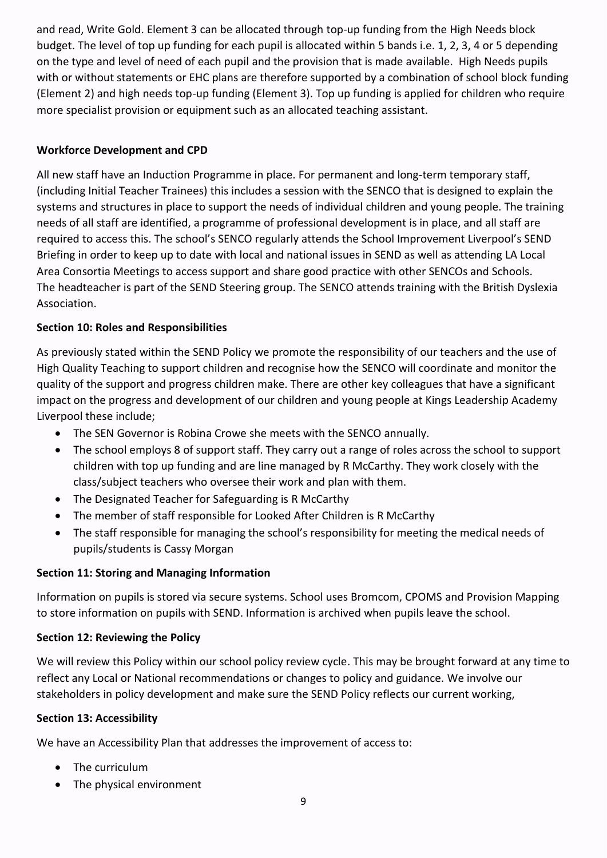and read, Write Gold. Element 3 can be allocated through top-up funding from the High Needs block budget. The level of top up funding for each pupil is allocated within 5 bands i.e. 1, 2, 3, 4 or 5 depending on the type and level of need of each pupil and the provision that is made available. High Needs pupils with or without statements or EHC plans are therefore supported by a combination of school block funding (Element 2) and high needs top-up funding (Element 3). Top up funding is applied for children who require more specialist provision or equipment such as an allocated teaching assistant.

#### **Workforce Development and CPD**

All new staff have an Induction Programme in place. For permanent and long-term temporary staff, (including Initial Teacher Trainees) this includes a session with the SENCO that is designed to explain the systems and structures in place to support the needs of individual children and young people. The training needs of all staff are identified, a programme of professional development is in place, and all staff are required to access this. The school's SENCO regularly attends the School Improvement Liverpool's SEND Briefing in order to keep up to date with local and national issues in SEND as well as attending LA Local Area Consortia Meetings to access support and share good practice with other SENCOs and Schools. The headteacher is part of the SEND Steering group. The SENCO attends training with the British Dyslexia Association.

#### **Section 10: Roles and Responsibilities**

As previously stated within the SEND Policy we promote the responsibility of our teachers and the use of High Quality Teaching to support children and recognise how the SENCO will coordinate and monitor the quality of the support and progress children make. There are other key colleagues that have a significant impact on the progress and development of our children and young people at Kings Leadership Academy Liverpool these include;

- The SEN Governor is Robina Crowe she meets with the SENCO annually.
- The school employs 8 of support staff. They carry out a range of roles across the school to support children with top up funding and are line managed by R McCarthy. They work closely with the class/subject teachers who oversee their work and plan with them.
- The Designated Teacher for Safeguarding is R McCarthy
- The member of staff responsible for Looked After Children is R McCarthy
- The staff responsible for managing the school's responsibility for meeting the medical needs of pupils/students is Cassy Morgan

#### **Section 11: Storing and Managing Information**

Information on pupils is stored via secure systems. School uses Bromcom, CPOMS and Provision Mapping to store information on pupils with SEND. Information is archived when pupils leave the school.

#### **Section 12: Reviewing the Policy**

We will review this Policy within our school policy review cycle. This may be brought forward at any time to reflect any Local or National recommendations or changes to policy and guidance. We involve our stakeholders in policy development and make sure the SEND Policy reflects our current working,

#### **Section 13: Accessibility**

We have an Accessibility Plan that addresses the improvement of access to:

- The curriculum
- The physical environment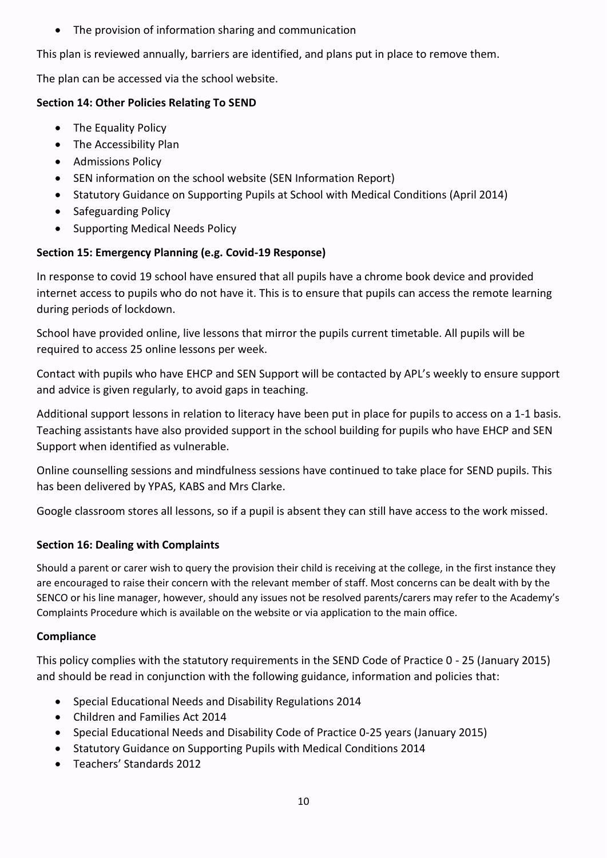• The provision of information sharing and communication

This plan is reviewed annually, barriers are identified, and plans put in place to remove them.

The plan can be accessed via the school website.

### **Section 14: Other Policies Relating To SEND**

- The Equality Policy
- The Accessibility Plan
- Admissions Policy
- SEN information on the school website (SEN Information Report)
- Statutory Guidance on Supporting Pupils at School with Medical Conditions (April 2014)
- Safeguarding Policy
- Supporting Medical Needs Policy

## **Section 15: Emergency Planning (e.g. Covid-19 Response)**

In response to covid 19 school have ensured that all pupils have a chrome book device and provided internet access to pupils who do not have it. This is to ensure that pupils can access the remote learning during periods of lockdown.

School have provided online, live lessons that mirror the pupils current timetable. All pupils will be required to access 25 online lessons per week.

Contact with pupils who have EHCP and SEN Support will be contacted by APL's weekly to ensure support and advice is given regularly, to avoid gaps in teaching.

Additional support lessons in relation to literacy have been put in place for pupils to access on a 1-1 basis. Teaching assistants have also provided support in the school building for pupils who have EHCP and SEN Support when identified as vulnerable.

Online counselling sessions and mindfulness sessions have continued to take place for SEND pupils. This has been delivered by YPAS, KABS and Mrs Clarke.

Google classroom stores all lessons, so if a pupil is absent they can still have access to the work missed.

## **Section 16: Dealing with Complaints**

Should a parent or carer wish to query the provision their child is receiving at the college, in the first instance they are encouraged to raise their concern with the relevant member of staff. Most concerns can be dealt with by the SENCO or his line manager, however, should any issues not be resolved parents/carers may refer to the Academy's Complaints Procedure which is available on the website or via application to the main office.

#### **Compliance**

This policy complies with the statutory requirements in the SEND Code of Practice 0 - 25 (January 2015) and should be read in conjunction with the following guidance, information and policies that:

- Special Educational Needs and Disability Regulations 2014
- Children and Families Act 2014
- Special Educational Needs and Disability Code of Practice 0-25 years (January 2015)
- Statutory Guidance on Supporting Pupils with Medical Conditions 2014
- Teachers' Standards 2012